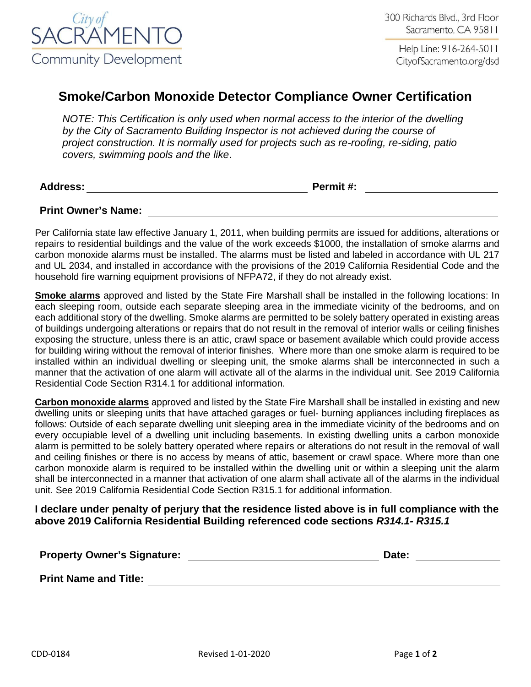

Help Line: 916-264-5011 CityofSacramento.org/dsd

## **Smoke/Carbon Monoxide Detector Compliance Owner Certification**

*NOTE: This Certification is only used when normal access to the interior of the dwelling by the City of Sacramento Building Inspector is not achieved during the course of project construction. It is normally used for projects such as re-roofing, re-siding, patio covers, swimming pools and the like*.

**Address: Permit #:**

**Print Owner's Name:**

Per California state law effective January 1, 2011, when building permits are issued for additions, alterations or repairs to residential buildings and the value of the work exceeds \$1000, the installation of smoke alarms and carbon monoxide alarms must be installed. The alarms must be listed and labeled in accordance with UL 217 and UL 2034, and installed in accordance with the provisions of the 2019 California Residential Code and the household fire warning equipment provisions of NFPA72, if they do not already exist.

**Smoke alarms** approved and listed by the State Fire Marshall shall be installed in the following locations: In each sleeping room, outside each separate sleeping area in the immediate vicinity of the bedrooms, and on each additional story of the dwelling. Smoke alarms are permitted to be solely battery operated in existing areas of buildings undergoing alterations or repairs that do not result in the removal of interior walls or ceiling finishes exposing the structure, unless there is an attic, crawl space or basement available which could provide access for building wiring without the removal of interior finishes. Where more than one smoke alarm is required to be installed within an individual dwelling or sleeping unit, the smoke alarms shall be interconnected in such a manner that the activation of one alarm will activate all of the alarms in the individual unit. See 2019 California Residential Code Section R314.1 for additional information.

**Carbon monoxide alarms** approved and listed by the State Fire Marshall shall be installed in existing and new dwelling units or sleeping units that have attached garages or fuel- burning appliances including fireplaces as follows: Outside of each separate dwelling unit sleeping area in the immediate vicinity of the bedrooms and on every occupiable level of a dwelling unit including basements. In existing dwelling units a carbon monoxide alarm is permitted to be solely battery operated where repairs or alterations do not result in the removal of wall and ceiling finishes or there is no access by means of attic, basement or crawl space. Where more than one carbon monoxide alarm is required to be installed within the dwelling unit or within a sleeping unit the alarm shall be interconnected in a manner that activation of one alarm shall activate all of the alarms in the individual unit. See 2019 California Residential Code Section R315.1 for additional information.

## **I declare under penalty of perjury that the residence listed above is in full compliance with the above 2019 California Residential Building referenced code sections** *R314.1- R315.1*

| <b>Property Owner's Signature:</b> | Date: |
|------------------------------------|-------|
| <b>Print Name and Title:</b>       |       |